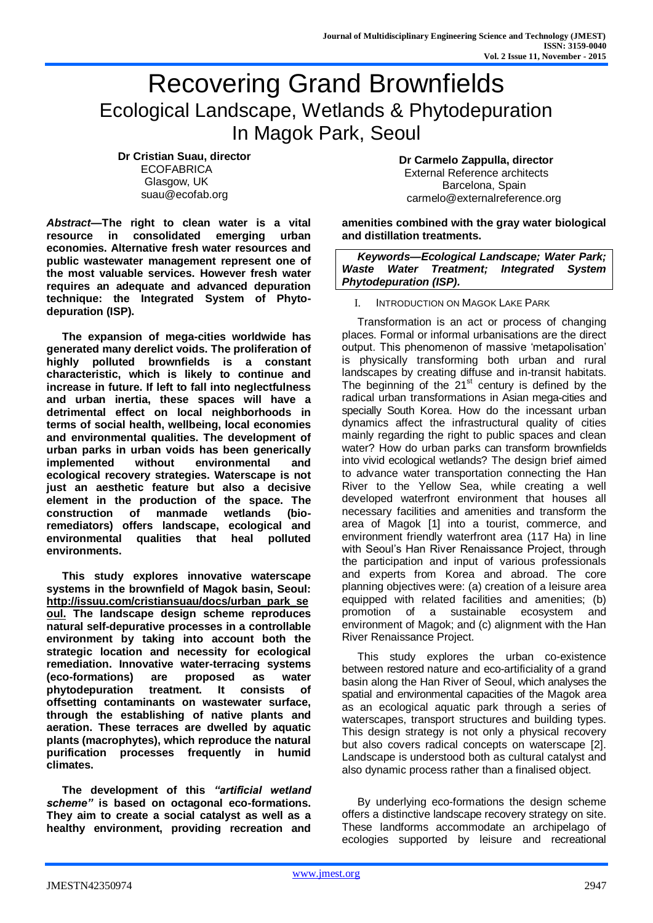# Recovering Grand Brownfields Ecological Landscape, Wetlands & Phytodepuration In Magok Park, Seoul

**Dr Cristian Suau, director ECOFABRICA** Glasgow, UK [suau@ecofab.org](mailto:suau@ecofab.org)

*Abstract***—The right to clean water is a vital resource in consolidated emerging urban economies. Alternative fresh water resources and public wastewater management represent one of the most valuable services. However fresh water requires an adequate and advanced depuration technique: the Integrated System of Phytodepuration (ISP).**

**The expansion of mega-cities worldwide has generated many derelict voids. The proliferation of highly polluted brownfields is a constant characteristic, which is likely to continue and increase in future. If left to fall into neglectfulness and urban inertia, these spaces will have a detrimental effect on local neighborhoods in terms of social health, wellbeing, local economies and environmental qualities. The development of urban parks in urban voids has been generically implemented without environmental and ecological recovery strategies. Waterscape is not just an aesthetic feature but also a decisive element in the production of the space. The construction of manmade wetlands (bioremediators) offers landscape, ecological and environmental qualities that heal polluted environments.**

**This study explores innovative waterscape systems in the brownfield of Magok basin, Seoul: [http://issuu.com/cristiansuau/docs/urban\\_park\\_se](http://issuu.com/cristiansuau/docs/urban_park_seoul) [oul.](http://issuu.com/cristiansuau/docs/urban_park_seoul) The landscape design scheme reproduces natural self-depurative processes in a controllable environment by taking into account both the strategic location and necessity for ecological remediation. Innovative water-terracing systems (eco-formations) are proposed as water phytodepuration treatment. It consists of offsetting contaminants on wastewater surface, through the establishing of native plants and aeration. These terraces are dwelled by aquatic plants (macrophytes), which reproduce the natural purification processes frequently in humid climates.**

**The development of this** *"artificial wetland scheme"* **is based on octagonal eco-formations. They aim to create a social catalyst as well as a healthy environment, providing recreation and**  **Dr Carmelo Zappulla, director** External Reference architects Barcelona, Spain [carmelo@externalreference.org](mailto:carmelo@externalreference.org)

**amenities combined with the gray water biological and distillation treatments.**

*Keywords—Ecological Landscape; Water Park; Waste Water Treatment; Integrated System Phytodepuration (ISP).*

I. INTRODUCTION ON MAGOK LAKE PARK

Transformation is an act or process of changing places. Formal or informal urbanisations are the direct output. This phenomenon of massive 'metapolisation' is physically transforming both urban and rural landscapes by creating diffuse and in-transit habitats. The beginning of the  $21<sup>st</sup>$  century is defined by the radical urban transformations in Asian mega-cities and specially South Korea. How do the incessant urban dynamics affect the infrastructural quality of cities mainly regarding the right to public spaces and clean water? How do urban parks can transform brownfields into vivid ecological wetlands? The design brief aimed to advance water transportation connecting the Han River to the Yellow Sea, while creating a well developed waterfront environment that houses all necessary facilities and amenities and transform the area of Magok [1] into a tourist, commerce, and environment friendly waterfront area (117 Ha) in line with Seoul's Han River Renaissance Project, through the participation and input of various professionals and experts from Korea and abroad. The core planning objectives were: (a) creation of a leisure area equipped with related facilities and amenities; (b) promotion of a sustainable ecosystem and environment of Magok; and (c) alignment with the Han River Renaissance Project.

This study explores the urban co-existence between restored nature and eco-artificiality of a grand basin along the Han River of Seoul, which analyses the spatial and environmental capacities of the Magok area as an ecological aquatic park through a series of waterscapes, transport structures and building types. This design strategy is not only a physical recovery but also covers radical concepts on waterscape [2]. Landscape is understood both as cultural catalyst and also dynamic process rather than a finalised object.

By underlying eco-formations the design scheme offers a distinctive landscape recovery strategy on site. These landforms accommodate an archipelago of ecologies supported by leisure and recreational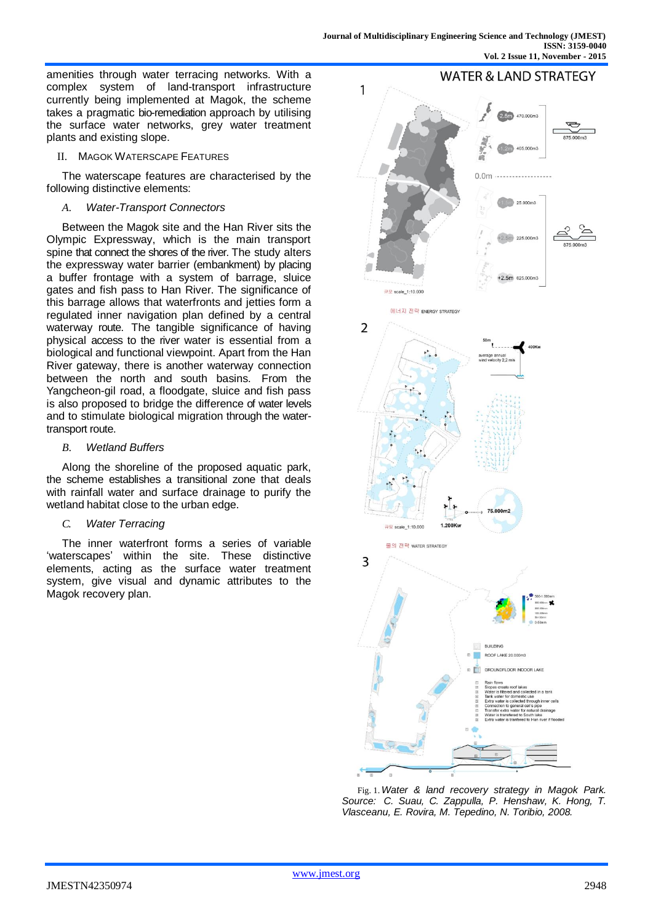amenities through water terracing networks. With a complex system of land-transport infrastructure currently being implemented at Magok, the scheme takes a pragmatic bio-remediation approach by utilising the surface water networks, grey water treatment plants and existing slope.

II. MAGOK WATERSCAPE FEATURES

The waterscape features are characterised by the following distinctive elements:

*A. Water-Transport Connectors*

Between the Magok site and the Han River sits the Olympic Expressway, which is the main transport spine that connect the shores of the river. The study alters the expressway water barrier (embankment) by placing a buffer frontage with a system of barrage, sluice gates and fish pass to Han River. The significance of this barrage allows that waterfronts and jetties form a regulated inner navigation plan defined by a central waterway route. The tangible significance of having physical access to the river water is essential from a biological and functional viewpoint. Apart from the Han River gateway, there is another waterway connection between the north and south basins. From the Yangcheon-gil road, a floodgate, sluice and fish pass is also proposed to bridge the difference of water levels and to stimulate biological migration through the watertransport route.

*B. Wetland Buffers*

Along the shoreline of the proposed aquatic park, the scheme establishes a transitional zone that deals with rainfall water and surface drainage to purify the wetland habitat close to the urban edge.

*C. Water Terracing*

The inner waterfront forms a series of variable 'waterscapes' within the site. These distinctive elements, acting as the surface water treatment system, give visual and dynamic attributes to the Magok recovery plan.



Fig. 1.*Water & land recovery strategy in Magok Park. Source: C. Suau, C. Zappulla, P. Henshaw, K. Hong, T. Vlasceanu, E. Rovira, M. Tepedino, N. Toribio, 2008.*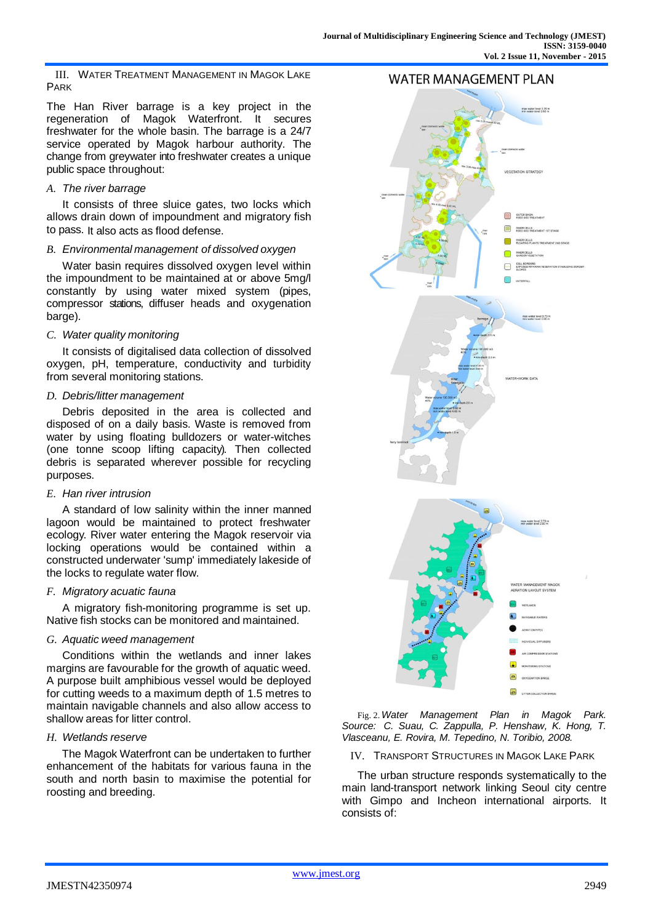III. WATER TREATMENT MANAGEMENT IN MAGOK LAKE PARK

The Han River barrage is a key project in the regeneration of Magok Waterfront. It secures freshwater for the whole basin. The barrage is a 24/7 service operated by Magok harbour authority. The change from greywater into freshwater creates a unique public space throughout:

# *A. The river barrage*

It consists of three sluice gates, two locks which allows drain down of impoundment and migratory fish to pass. It also acts as flood defense.

# *B. Environmental management of dissolved oxygen*

Water basin requires dissolved oxygen level within the impoundment to be maintained at or above 5mg/l constantly by using water mixed system (pipes, compressor stations, diffuser heads and oxygenation barge).

# *C. Water quality monitoring*

It consists of digitalised data collection of dissolved oxygen, pH, temperature, conductivity and turbidity from several monitoring stations.

# *D. Debris/litter management*

Debris deposited in the area is collected and disposed of on a daily basis. Waste is removed from water by using floating bulldozers or water-witches (one tonne scoop lifting capacity). Then collected debris is separated wherever possible for recycling purposes.

#### *E. Han river intrusion*

A standard of low salinity within the inner manned lagoon would be maintained to protect freshwater ecology. River water entering the Magok reservoir via locking operations would be contained within a constructed underwater 'sump' immediately lakeside of the locks to regulate water flow.

# *F. Migratory acuatic fauna*

A migratory fish-monitoring programme is set up. Native fish stocks can be monitored and maintained.

#### *G. Aquatic weed management*

Conditions within the wetlands and inner lakes margins are favourable for the growth of aquatic weed. A purpose built amphibious vessel would be deployed for cutting weeds to a maximum depth of 1.5 metres to maintain navigable channels and also allow access to shallow areas for litter control.

# *H. Wetlands reserve*

The Magok Waterfront can be undertaken to further enhancement of the habitats for various fauna in the south and north basin to maximise the potential for roosting and breeding.



Fig. 2.*Water Management Plan in Magok Park. Source: C. Suau, C. Zappulla, P. Henshaw, K. Hong, T. Vlasceanu, E. Rovira, M. Tepedino, N. Toribio, 2008.*

IV. TRANSPORT STRUCTURES IN MAGOK LAKE PARK

The urban structure responds systematically to the main land-transport network linking Seoul city centre with Gimpo and Incheon international airports. It consists of: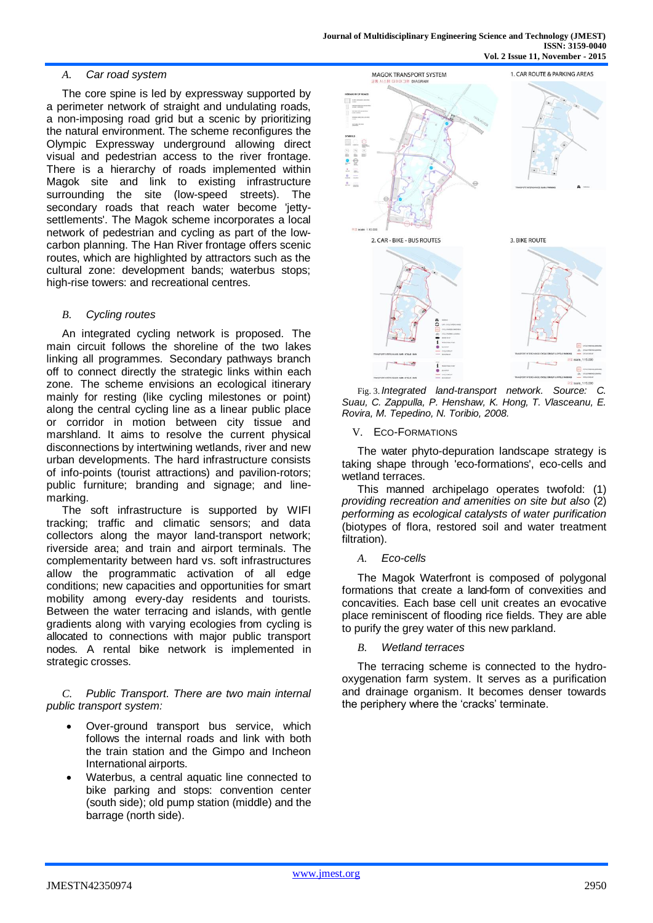# *A. Car road system*

The core spine is led by expressway supported by a perimeter network of straight and undulating roads, a non-imposing road grid but a scenic by prioritizing the natural environment. The scheme reconfigures the Olympic Expressway underground allowing direct visual and pedestrian access to the river frontage. There is a hierarchy of roads implemented within Magok site and link to existing infrastructure surrounding the site (low-speed streets). The secondary roads that reach water become 'iettysettlements'. The Magok scheme incorporates a local network of pedestrian and cycling as part of the lowcarbon planning. The Han River frontage offers scenic routes, which are highlighted by attractors such as the cultural zone: development bands; waterbus stops; high-rise towers: and recreational centres.

#### *B. Cycling routes*

An integrated cycling network is proposed. The main circuit follows the shoreline of the two lakes linking all programmes. Secondary pathways branch off to connect directly the strategic links within each zone. The scheme envisions an ecological itinerary mainly for resting (like cycling milestones or point) along the central cycling line as a linear public place or corridor in motion between city tissue and marshland. It aims to resolve the current physical disconnections by intertwining wetlands, river and new urban developments. The hard infrastructure consists of info-points (tourist attractions) and pavilion-rotors; public furniture; branding and signage; and linemarking.

The soft infrastructure is supported by WIFI tracking; traffic and climatic sensors; and data collectors along the mayor land-transport network; riverside area; and train and airport terminals. The complementarity between hard vs. soft infrastructures allow the programmatic activation of all edge conditions; new capacities and opportunities for smart mobility among every-day residents and tourists. Between the water terracing and islands, with gentle gradients along with varying ecologies from cycling is allocated to connections with major public transport nodes. A rental bike network is implemented in strategic crosses.

*C. Public Transport. There are two main internal public transport system:*

- Over-ground transport bus service, which follows the internal roads and link with both the train station and the Gimpo and Incheon International airports.
- Waterbus, a central aquatic line connected to bike parking and stops: convention center (south side); old pump station (middle) and the barrage (north side).



Fig. 3. *Integrated land-transport network. Source: C. Suau, C. Zappulla, P. Henshaw, K. Hong, T. Vlasceanu, E. Rovira, M. Tepedino, N. Toribio, 2008.*

#### V. ECO-FORMATIONS

The water phyto-depuration landscape strategy is taking shape through 'eco-formations', eco-cells and wetland terraces.

This manned archipelago operates twofold: (1) *providing recreation and amenities on site but also* (2) *performing as ecological catalysts of water purification*  (biotypes of flora, restored soil and water treatment filtration).

#### *A. Eco-cells*

The Magok Waterfront is composed of polygonal formations that create a land-form of convexities and concavities. Each base cell unit creates an evocative place reminiscent of flooding rice fields. They are able to purify the grey water of this new parkland.

#### *B. Wetland terraces*

The terracing scheme is connected to the hydrooxygenation farm system. It serves as a purification and drainage organism. It becomes denser towards the periphery where the 'cracks' terminate.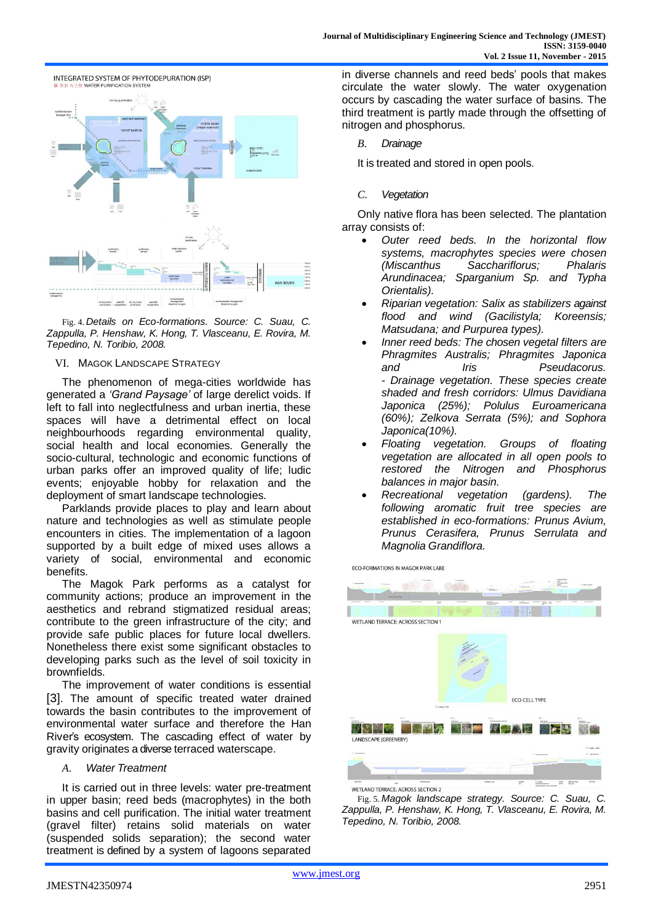

Fig. 4. *Details on Eco-formations. Source: C. Suau, C. Zappulla, P. Henshaw, K. Hong, T. Vlasceanu, E. Rovira, M. Tepedino, N. Toribio, 2008.*

#### VI. MAGOK LANDSCAPE STRATEGY

The phenomenon of mega-cities worldwide has generated a *'Grand Paysage'* of large derelict voids. If left to fall into neglectfulness and urban inertia, these spaces will have a detrimental effect on local neighbourhoods regarding environmental quality, social health and local economies. Generally the socio-cultural, technologic and economic functions of urban parks offer an improved quality of life; ludic events; enjoyable hobby for relaxation and the deployment of smart landscape technologies.

Parklands provide places to play and learn about nature and technologies as well as stimulate people encounters in cities. The implementation of a lagoon supported by a built edge of mixed uses allows a variety of social, environmental and economic benefits.

The Magok Park performs as a catalyst for community actions; produce an improvement in the aesthetics and rebrand stigmatized residual areas; contribute to the green infrastructure of the city; and provide safe public places for future local dwellers. Nonetheless there exist some significant obstacles to developing parks such as the level of soil toxicity in brownfields.

The improvement of water conditions is essential [3]. The amount of specific treated water drained towards the basin contributes to the improvement of environmental water surface and therefore the Han River's ecosystem. The cascading effect of water by gravity originates a diverse terraced waterscape.

#### *A. Water Treatment*

It is carried out in three levels: water pre-treatment in upper basin; reed beds (macrophytes) in the both basins and cell purification. The initial water treatment (gravel filter) retains solid materials on water (suspended solids separation); the second water treatment is defined by a system of lagoons separated

in diverse channels and reed beds' pools that makes circulate the water slowly. The water oxygenation occurs by cascading the water surface of basins. The third treatment is partly made through the offsetting of nitrogen and phosphorus.

*B. Drainage*

It is treated and stored in open pools.

*C. Vegetation*

Only native flora has been selected. The plantation array consists of:

- *Outer reed beds. In the horizontal flow systems, macrophytes species were chosen (Miscanthus Sacchariflorus; Phalaris Arundinacea; Sparganium Sp. and Typha Orientalis).*
- *Riparian vegetation: Salix as stabilizers against flood and wind (Gacilistyla; Koreensis; Matsudana; and Purpurea types).*
- *Inner reed beds: The chosen vegetal filters are Phragmites Australis; Phragmites Japonica and Iris Pseudacorus. - Drainage vegetation. These species create shaded and fresh corridors: Ulmus Davidiana Japonica (25%); Polulus Euroamericana (60%); Zelkova Serrata (5%); and Sophora Japonica(10%).*
- *Floating vegetation. Groups of floating vegetation are allocated in all open pools to restored the Nitrogen and Phosphorus balances in major basin.*
- *Recreational vegetation (gardens). The following aromatic fruit tree species are established in eco-formations: Prunus Avium, Prunus Cerasifera, Prunus Serrulata and Magnolia Grandiflora.*

ECO-FORMATIONS IN MAGOK PARK LAKE



Fig. 5. *Magok landscape strategy. Source: C. Suau, C. Zappulla, P. Henshaw, K. Hong, T. Vlasceanu, E. Rovira, M. Tepedino, N. Toribio, 2008.*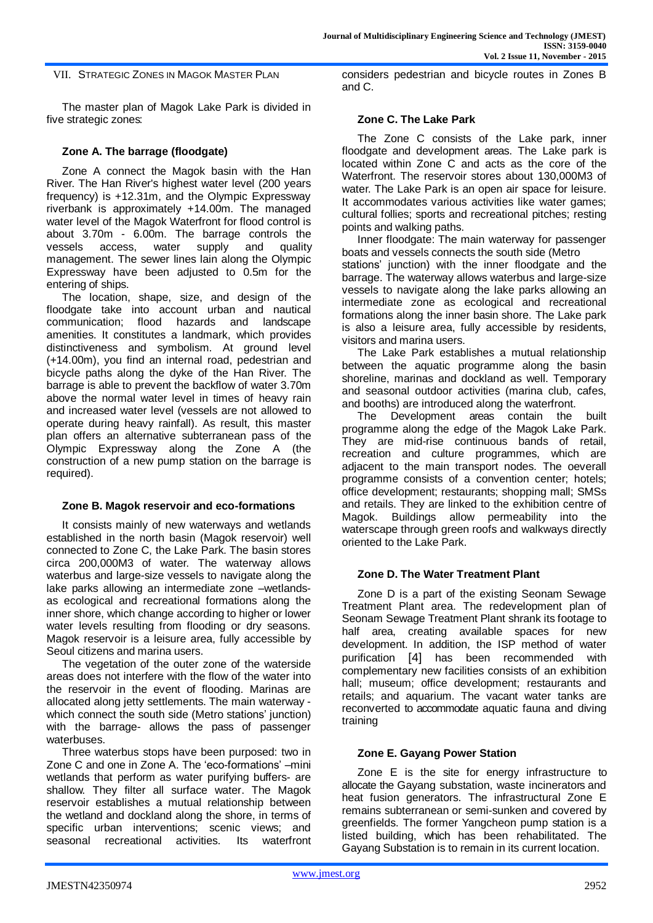VII. STRATEGIC ZONES IN MAGOK MASTER PLAN

The master plan of Magok Lake Park is divided in five strategic zones:

# **Zone A. The barrage (floodgate)**

Zone A connect the Magok basin with the Han River. The Han River's highest water level (200 years frequency) is +12.31m, and the Olympic Expressway riverbank is approximately +14.00m. The managed water level of the Magok Waterfront for flood control is about 3.70m - 6.00m. The barrage controls the vessels access, water supply and quality management. The sewer lines lain along the Olympic Expressway have been adjusted to 0.5m for the entering of ships.

The location, shape, size, and design of the floodgate take into account urban and nautical communication; flood hazards and landscape amenities. It constitutes a landmark, which provides distinctiveness and symbolism. At ground level (+14.00m), you find an internal road, pedestrian and bicycle paths along the dyke of the Han River. The barrage is able to prevent the backflow of water 3.70m above the normal water level in times of heavy rain and increased water level (vessels are not allowed to operate during heavy rainfall). As result, this master plan offers an alternative subterranean pass of the Olympic Expressway along the Zone A (the construction of a new pump station on the barrage is required).

# **Zone B. Magok reservoir and eco-formations**

It consists mainly of new waterways and wetlands established in the north basin (Magok reservoir) well connected to Zone C, the Lake Park. The basin stores circa 200,000M3 of water. The waterway allows waterbus and large-size vessels to navigate along the lake parks allowing an intermediate zone –wetlandsas ecological and recreational formations along the inner shore, which change according to higher or lower water levels resulting from flooding or dry seasons. Magok reservoir is a leisure area, fully accessible by Seoul citizens and marina users.

The vegetation of the outer zone of the waterside areas does not interfere with the flow of the water into the reservoir in the event of flooding. Marinas are allocated along jetty settlements. The main waterway which connect the south side (Metro stations' junction) with the barrage- allows the pass of passenger waterbuses.

Three waterbus stops have been purposed: two in Zone C and one in Zone A. The 'eco-formations' –mini wetlands that perform as water purifying buffers- are shallow. They filter all surface water. The Magok reservoir establishes a mutual relationship between the wetland and dockland along the shore, in terms of specific urban interventions; scenic views; and seasonal recreational activities. Its waterfront considers pedestrian and bicycle routes in Zones B and C.

# **Zone C. The Lake Park**

The Zone C consists of the Lake park, inner floodgate and development areas. The Lake park is located within Zone C and acts as the core of the Waterfront. The reservoir stores about 130,000M3 of water. The Lake Park is an open air space for leisure. It accommodates various activities like water games; cultural follies; sports and recreational pitches; resting points and walking paths.

Inner floodgate: The main waterway for passenger boats and vessels connects the south side (Metro stations' junction) with the inner floodgate and the barrage. The waterway allows waterbus and large-size vessels to navigate along the lake parks allowing an intermediate zone as ecological and recreational formations along the inner basin shore. The Lake park is also a leisure area, fully accessible by residents, visitors and marina users.

The Lake Park establishes a mutual relationship between the aquatic programme along the basin shoreline, marinas and dockland as well. Temporary and seasonal outdoor activities (marina club, cafes, and booths) are introduced along the waterfront.

The Development areas contain the built programme along the edge of the Magok Lake Park. They are mid-rise continuous bands of retail, recreation and culture programmes, which are adjacent to the main transport nodes. The oeverall programme consists of a convention center; hotels; office development; restaurants; shopping mall; SMSs and retails. They are linked to the exhibition centre of Magok. Buildings allow permeability into the waterscape through green roofs and walkways directly oriented to the Lake Park.

# **Zone D. The Water Treatment Plant**

Zone D is a part of the existing Seonam Sewage Treatment Plant area. The redevelopment plan of Seonam Sewage Treatment Plant shrank its footage to half area, creating available spaces for new development. In addition, the ISP method of water purification [4] has been recommended with complementary new facilities consists of an exhibition hall; museum; office development; restaurants and retails; and aquarium. The vacant water tanks are reconverted to accommodate aquatic fauna and diving training

#### **Zone E. Gayang Power Station**

Zone E is the site for energy infrastructure to allocate the Gayang substation, waste incinerators and heat fusion generators. The infrastructural Zone E remains subterranean or semi-sunken and covered by greenfields. The former Yangcheon pump station is a listed building, which has been rehabilitated. The Gayang Substation is to remain in its current location.